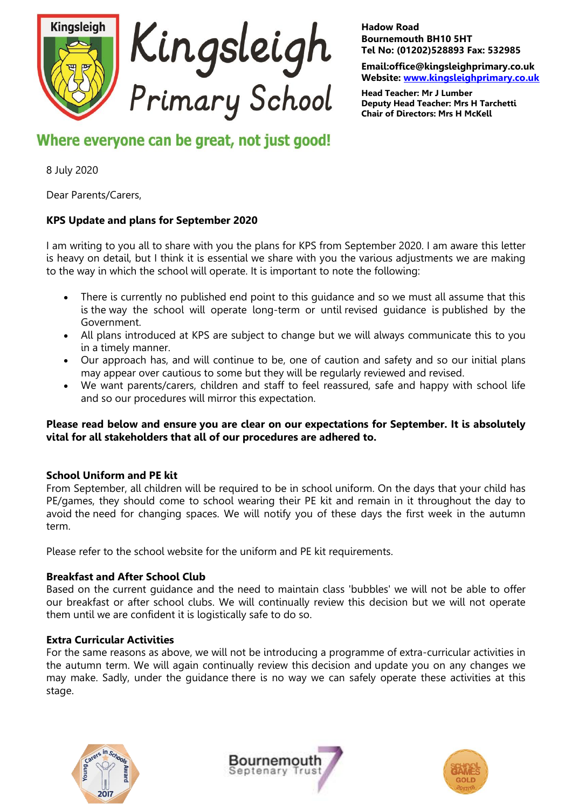

#### **Hadow Road Bournemouth BH10 5HT Tel No: (01202)528893 Fax: 532985**

**Email:office@kingsleighprimary.co.uk Website: [www.kingsleighprimary.co.uk](http://www.kingsleighprimary.co.uk/)**

**Head Teacher: Mr J Lumber Deputy Head Teacher: Mrs H Tarchetti Chair of Directors: Mrs H McKell**

Where everyone can be great, not just good!

8 July 2020

Dear Parents/Carers,

# **KPS Update and plans for September 2020**

I am writing to you all to share with you the plans for KPS from September 2020. I am aware this letter is heavy on detail, but I think it is essential we share with you the various adjustments we are making to the way in which the school will operate. It is important to note the following:

- There is currently no published end point to this quidance and so we must all assume that this is the way the school will operate long-term or until revised guidance is published by the Government.
- All plans introduced at KPS are subject to change but we will always communicate this to you in a timely manner.
- Our approach has, and will continue to be, one of caution and safety and so our initial plans may appear over cautious to some but they will be regularly reviewed and revised.
- We want parents/carers, children and staff to feel reassured, safe and happy with school life and so our procedures will mirror this expectation.

# **Please read below and ensure you are clear on our expectations for September. It is absolutely vital for all stakeholders that all of our procedures are adhered to.**

# **School Uniform and PE kit**

From September, all children will be required to be in school uniform. On the days that your child has PE/games, they should come to school wearing their PE kit and remain in it throughout the day to avoid the need for changing spaces. We will notify you of these days the first week in the autumn term.

Please refer to the school website for the uniform and PE kit requirements.

# **Breakfast and After School Club**

Based on the current guidance and the need to maintain class 'bubbles' we will not be able to offer our breakfast or after school clubs. We will continually review this decision but we will not operate them until we are confident it is logistically safe to do so.

### **Extra Curricular Activities**

For the same reasons as above, we will not be introducing a programme of extra-curricular activities in the autumn term. We will again continually review this decision and update you on any changes we may make. Sadly, under the guidance there is no way we can safely operate these activities at this stage.





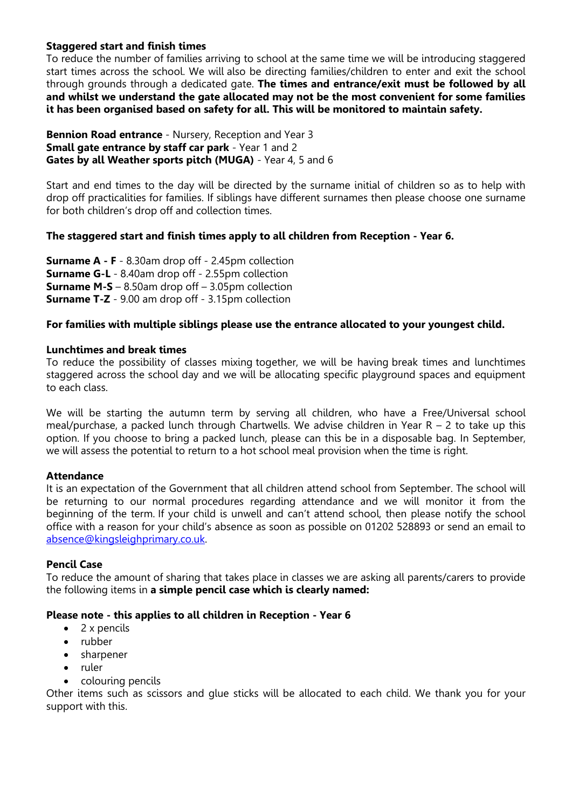# **Staggered start and finish times**

To reduce the number of families arriving to school at the same time we will be introducing staggered start times across the school. We will also be directing families/children to enter and exit the school through grounds through a dedicated gate. **The times and entrance/exit must be followed by all and whilst we understand the gate allocated may not be the most convenient for some families it has been organised based on safety for all. This will be monitored to maintain safety.**

**Bennion Road entrance** - Nursery, Reception and Year 3 **Small gate entrance by staff car park** - Year 1 and 2 **Gates by all Weather sports pitch (MUGA)** - Year 4, 5 and 6

Start and end times to the day will be directed by the surname initial of children so as to help with drop off practicalities for families. If siblings have different surnames then please choose one surname for both children's drop off and collection times.

# **The staggered start and finish times apply to all children from Reception - Year 6.**

**Surname A - F** - 8.30am drop off - 2.45pm collection **Surname G-L** - 8.40am drop off - 2.55pm collection **Surname M-S** – 8.50am drop off – 3.05pm collection **Surname T-Z** - 9.00 am drop off - 3.15pm collection

### **For families with multiple siblings please use the entrance allocated to your youngest child.**

### **Lunchtimes and break times**

To reduce the possibility of classes mixing together, we will be having break times and lunchtimes staggered across the school day and we will be allocating specific playground spaces and equipment to each class.

We will be starting the autumn term by serving all children, who have a Free/Universal school meal/purchase, a packed lunch through Chartwells. We advise children in Year R – 2 to take up this option. If you choose to bring a packed lunch, please can this be in a disposable bag. In September, we will assess the potential to return to a hot school meal provision when the time is right.

### **Attendance**

It is an expectation of the Government that all children attend school from September. The school will be returning to our normal procedures regarding attendance and we will monitor it from the beginning of the term. If your child is unwell and can't attend school, then please notify the school office with a reason for your child's absence as soon as possible on 01202 528893 or send an email to [absence@kingsleighprimary.co.uk.](mailto:absence@kingsleighprimary.co.uk)

### **Pencil Case**

To reduce the amount of sharing that takes place in classes we are asking all parents/carers to provide the following items in **a simple pencil case which is clearly named:**

### **Please note - this applies to all children in Reception - Year 6**

- 2 x pencils
- rubber
- sharpener
- ruler
- colouring pencils

Other items such as scissors and glue sticks will be allocated to each child. We thank you for your support with this.